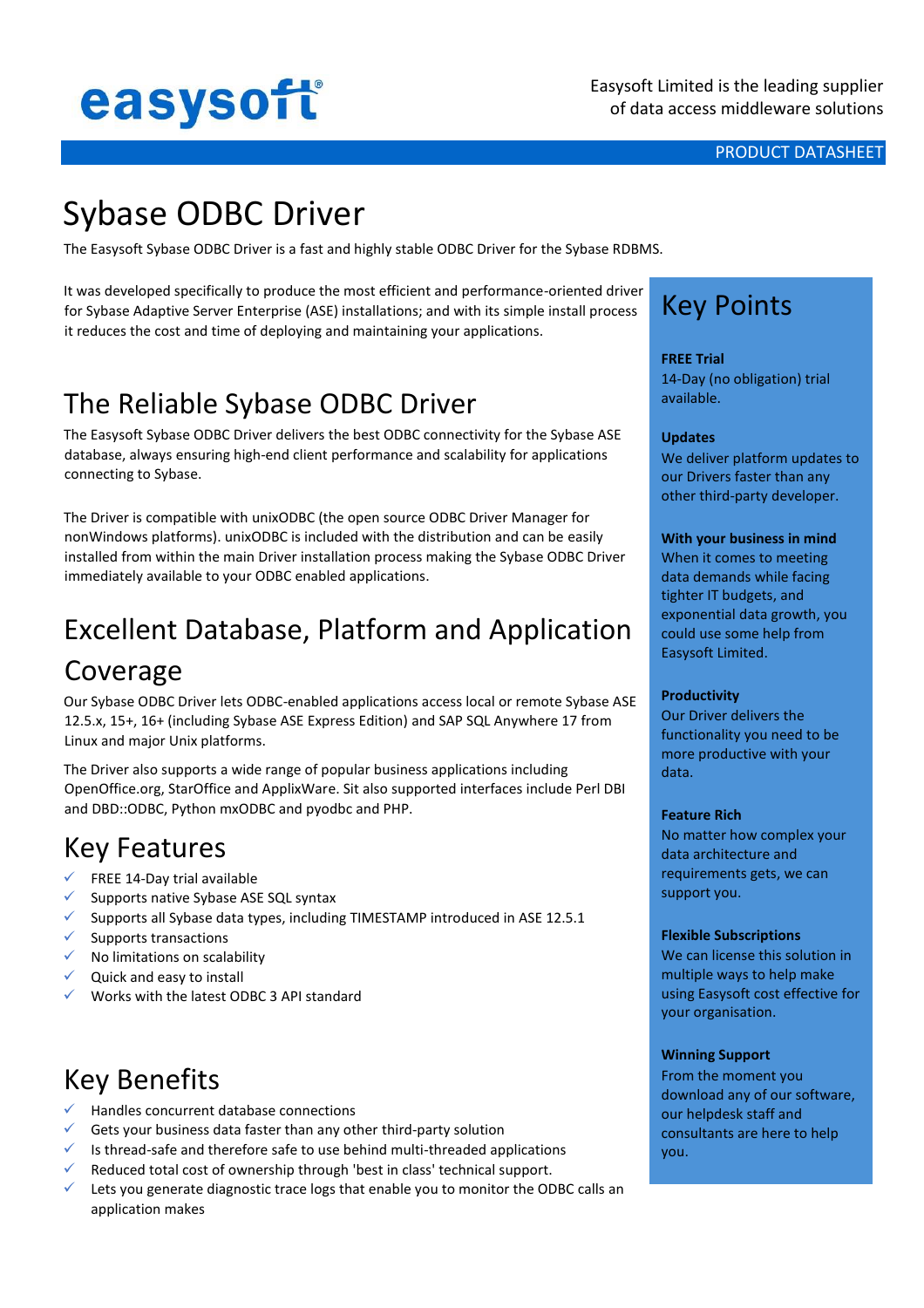# easysoft

#### PRODUCT DATASHEET

# Sybase ODBC Driver

The Easysoft Sybase ODBC Driver is a fast and highly stable ODBC Driver for the Sybase RDBMS.

It was developed specifically to produce the most efficient and performance-oriented driver for Sybase Adaptive Server Enterprise (ASE) installations; and with its simple install process it reduces the cost and time of deploying and maintaining your applications.

# The Reliable Sybase ODBC Driver

The Easysoft Sybase ODBC Driver delivers the best ODBC connectivity for the Sybase ASE database, always ensuring high-end client performance and scalability for applications connecting to Sybase.

The Driver is compatible with unixODBC (the open source ODBC Driver Manager for nonWindows platforms). unixODBC is included with the distribution and can be easily installed from within the main Driver installation process making the Sybase ODBC Driver immediately available to your ODBC enabled applications.

# Excellent Database, Platform and Application Coverage

Our Sybase ODBC Driver lets ODBC-enabled applications access local or remote Sybase ASE 12.5.x, 15+, 16+ (including Sybase ASE Express Edition) and SAP SQL Anywhere 17 from Linux and major Unix platforms.

The Driver also supports a wide range of popular business applications including OpenOffice.org, StarOffice and ApplixWare. Sit also supported interfaces include Perl DBI and DBD::ODBC, Python mxODBC and pyodbc and PHP.

### Key Features

- $\checkmark$  FREE 14-Day trial available
- ✓ Supports native Sybase ASE SQL syntax
- ✓ Supports all Sybase data types, including TIMESTAMP introduced in ASE 12.5.1
- $\checkmark$  Supports transactions
- $\checkmark$  No limitations on scalability
- $\checkmark$  Quick and easy to install
- ✓ Works with the latest ODBC 3 API standard

# Key Benefits

- ✓ Handles concurrent database connections
- $\checkmark$  Gets your business data faster than any other third-party solution
- $\checkmark$  Is thread-safe and therefore safe to use behind multi-threaded applications
- Reduced total cost of ownership through 'best in class' technical support.
- $\checkmark$  Lets you generate diagnostic trace logs that enable you to monitor the ODBC calls an application makes

# Key Points

#### **FREE Trial**

14-Day (no obligation) trial available.

#### **Updates**

We deliver platform updates to our Drivers faster than any other third-party developer.

#### **With your business in mind**

When it comes to meeting data demands while facing tighter IT budgets, and exponential data growth, you could use some help from Easysoft Limited.

#### **Productivity**

Our Driver delivers the functionality you need to be more productive with your data.

#### **Feature Rich**

No matter how complex your data architecture and requirements gets, we can support you.

#### **Flexible Subscriptions**

We can license this solution in multiple ways to help make using Easysoft cost effective for your organisation.

#### **Winning Support**

From the moment you download any of our software, our helpdesk staff and consultants are here to help you.